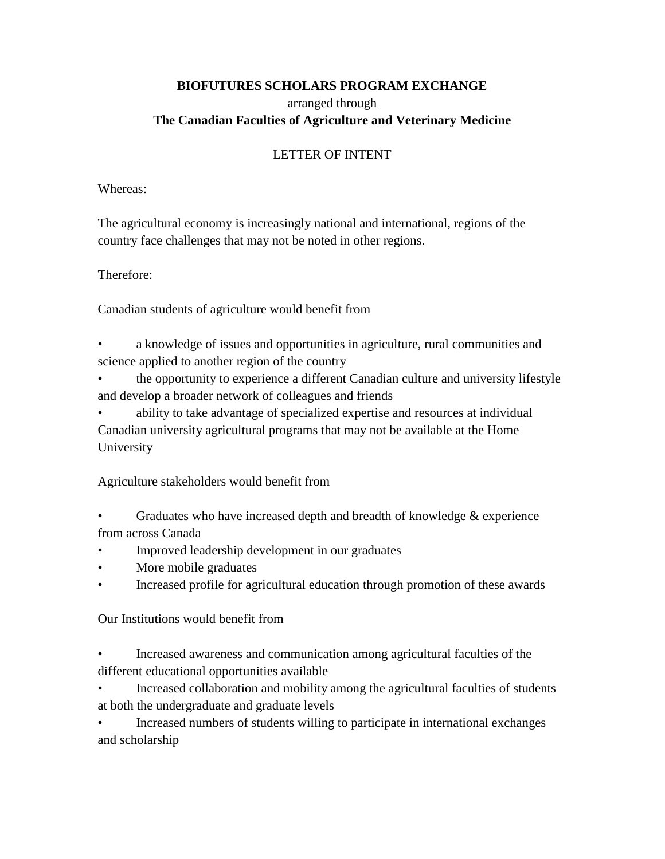# **BIOFUTURES SCHOLARS PROGRAM EXCHANGE** arranged through **The Canadian Faculties of Agriculture and Veterinary Medicine**

# LETTER OF INTENT

#### Whereas:

The agricultural economy is increasingly national and international, regions of the country face challenges that may not be noted in other regions.

### Therefore:

Canadian students of agriculture would benefit from

• a knowledge of issues and opportunities in agriculture, rural communities and science applied to another region of the country

• the opportunity to experience a different Canadian culture and university lifestyle and develop a broader network of colleagues and friends

• ability to take advantage of specialized expertise and resources at individual Canadian university agricultural programs that may not be available at the Home University

Agriculture stakeholders would benefit from

Graduates who have increased depth and breadth of knowledge  $\&$  experience from across Canada

- Improved leadership development in our graduates
- More mobile graduates
- Increased profile for agricultural education through promotion of these awards

Our Institutions would benefit from

- Increased awareness and communication among agricultural faculties of the different educational opportunities available
- Increased collaboration and mobility among the agricultural faculties of students at both the undergraduate and graduate levels

• Increased numbers of students willing to participate in international exchanges and scholarship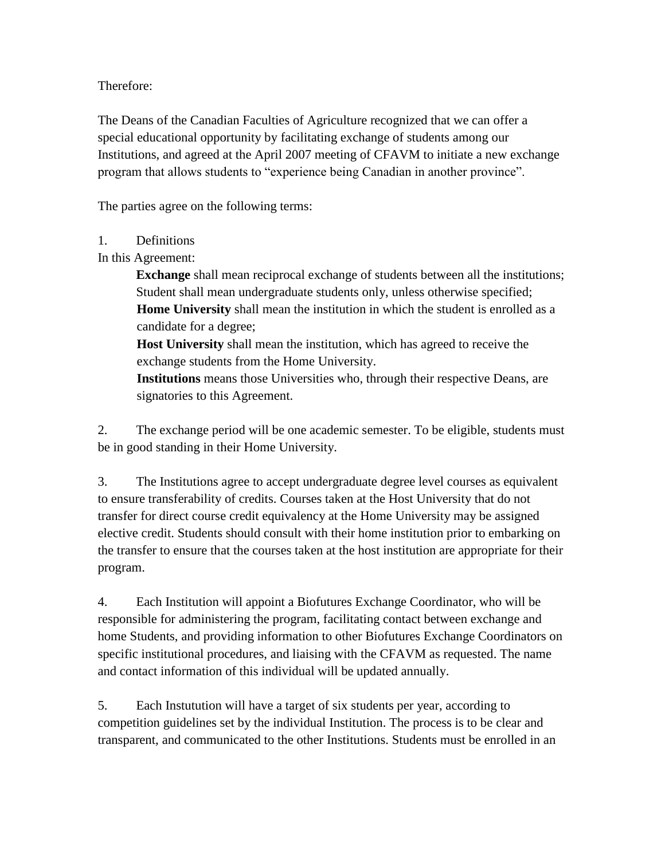Therefore:

The Deans of the Canadian Faculties of Agriculture recognized that we can offer a special educational opportunity by facilitating exchange of students among our Institutions, and agreed at the April 2007 meeting of CFAVM to initiate a new exchange program that allows students to "experience being Canadian in another province".

The parties agree on the following terms:

### 1. Definitions

In this Agreement:

**Exchange** shall mean reciprocal exchange of students between all the institutions; Student shall mean undergraduate students only, unless otherwise specified; **Home University** shall mean the institution in which the student is enrolled as a candidate for a degree;

**Host University** shall mean the institution, which has agreed to receive the exchange students from the Home University.

**Institutions** means those Universities who, through their respective Deans, are signatories to this Agreement.

2. The exchange period will be one academic semester. To be eligible, students must be in good standing in their Home University.

3. The Institutions agree to accept undergraduate degree level courses as equivalent to ensure transferability of credits. Courses taken at the Host University that do not transfer for direct course credit equivalency at the Home University may be assigned elective credit. Students should consult with their home institution prior to embarking on the transfer to ensure that the courses taken at the host institution are appropriate for their program.

4. Each Institution will appoint a Biofutures Exchange Coordinator, who will be responsible for administering the program, facilitating contact between exchange and home Students, and providing information to other Biofutures Exchange Coordinators on specific institutional procedures, and liaising with the CFAVM as requested. The name and contact information of this individual will be updated annually.

5. Each Instutution will have a target of six students per year, according to competition guidelines set by the individual Institution. The process is to be clear and transparent, and communicated to the other Institutions. Students must be enrolled in an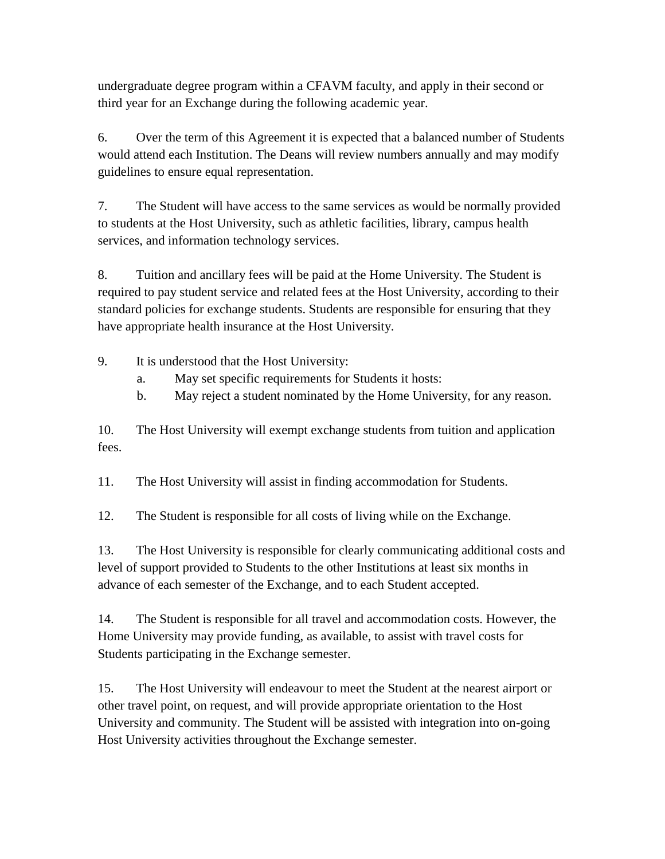undergraduate degree program within a CFAVM faculty, and apply in their second or third year for an Exchange during the following academic year.

6. Over the term of this Agreement it is expected that a balanced number of Students would attend each Institution. The Deans will review numbers annually and may modify guidelines to ensure equal representation.

7. The Student will have access to the same services as would be normally provided to students at the Host University, such as athletic facilities, library, campus health services, and information technology services.

8. Tuition and ancillary fees will be paid at the Home University. The Student is required to pay student service and related fees at the Host University, according to their standard policies for exchange students. Students are responsible for ensuring that they have appropriate health insurance at the Host University.

9. It is understood that the Host University:

- a. May set specific requirements for Students it hosts:
- b. May reject a student nominated by the Home University, for any reason.

10. The Host University will exempt exchange students from tuition and application fees.

11. The Host University will assist in finding accommodation for Students.

12. The Student is responsible for all costs of living while on the Exchange.

13. The Host University is responsible for clearly communicating additional costs and level of support provided to Students to the other Institutions at least six months in advance of each semester of the Exchange, and to each Student accepted.

14. The Student is responsible for all travel and accommodation costs. However, the Home University may provide funding, as available, to assist with travel costs for Students participating in the Exchange semester.

15. The Host University will endeavour to meet the Student at the nearest airport or other travel point, on request, and will provide appropriate orientation to the Host University and community. The Student will be assisted with integration into on-going Host University activities throughout the Exchange semester.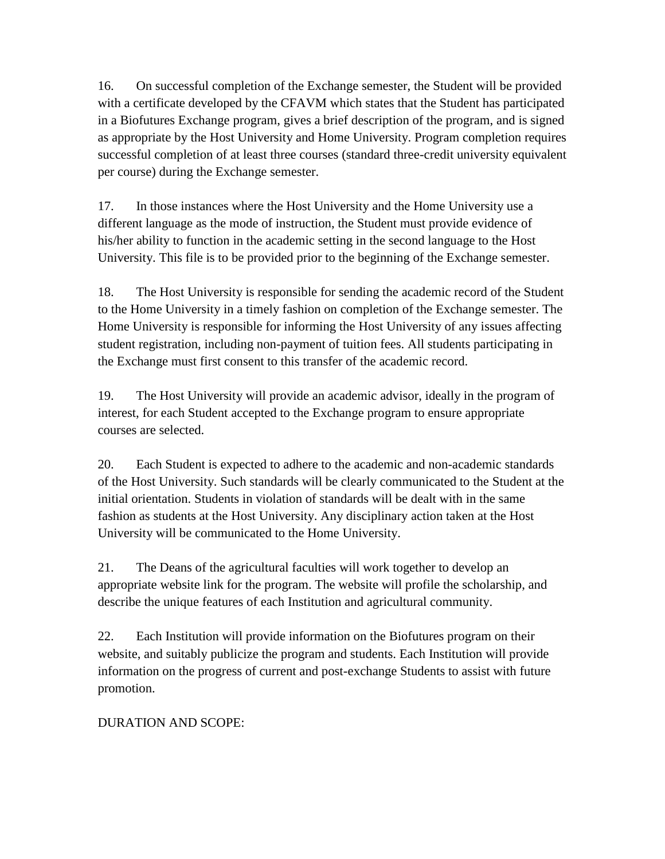16. On successful completion of the Exchange semester, the Student will be provided with a certificate developed by the CFAVM which states that the Student has participated in a Biofutures Exchange program, gives a brief description of the program, and is signed as appropriate by the Host University and Home University. Program completion requires successful completion of at least three courses (standard three-credit university equivalent per course) during the Exchange semester.

17. In those instances where the Host University and the Home University use a different language as the mode of instruction, the Student must provide evidence of his/her ability to function in the academic setting in the second language to the Host University. This file is to be provided prior to the beginning of the Exchange semester.

18. The Host University is responsible for sending the academic record of the Student to the Home University in a timely fashion on completion of the Exchange semester. The Home University is responsible for informing the Host University of any issues affecting student registration, including non-payment of tuition fees. All students participating in the Exchange must first consent to this transfer of the academic record.

19. The Host University will provide an academic advisor, ideally in the program of interest, for each Student accepted to the Exchange program to ensure appropriate courses are selected.

20. Each Student is expected to adhere to the academic and non-academic standards of the Host University. Such standards will be clearly communicated to the Student at the initial orientation. Students in violation of standards will be dealt with in the same fashion as students at the Host University. Any disciplinary action taken at the Host University will be communicated to the Home University.

21. The Deans of the agricultural faculties will work together to develop an appropriate website link for the program. The website will profile the scholarship, and describe the unique features of each Institution and agricultural community.

22. Each Institution will provide information on the Biofutures program on their website, and suitably publicize the program and students. Each Institution will provide information on the progress of current and post-exchange Students to assist with future promotion.

DURATION AND SCOPE: